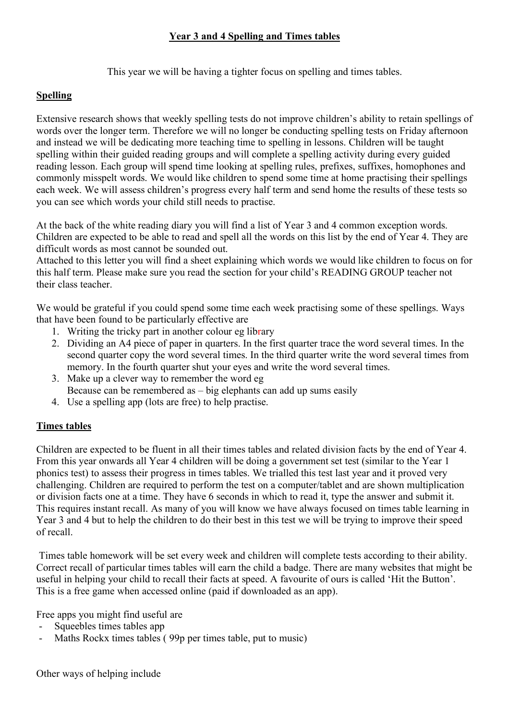### **Year 3 and 4 Spelling and Times tables**

This year we will be having a tighter focus on spelling and times tables.

## **Spelling**

Extensive research shows that weekly spelling tests do not improve children's ability to retain spellings of words over the longer term. Therefore we will no longer be conducting spelling tests on Friday afternoon and instead we will be dedicating more teaching time to spelling in lessons. Children will be taught spelling within their guided reading groups and will complete a spelling activity during every guided reading lesson. Each group will spend time looking at spelling rules, prefixes, suffixes, homophones and commonly misspelt words. We would like children to spend some time at home practising their spellings each week. We will assess children's progress every half term and send home the results of these tests so you can see which words your child still needs to practise.

At the back of the white reading diary you will find a list of Year 3 and 4 common exception words. Children are expected to be able to read and spell all the words on this list by the end of Year 4. They are difficult words as most cannot be sounded out.

Attached to this letter you will find a sheet explaining which words we would like children to focus on for this half term. Please make sure you read the section for your child's READING GROUP teacher not their class teacher.

We would be grateful if you could spend some time each week practising some of these spellings. Ways that have been found to be particularly effective are

- 1. Writing the tricky part in another colour eg library
- 2. Dividing an A4 piece of paper in quarters. In the first quarter trace the word several times. In the second quarter copy the word several times. In the third quarter write the word several times from memory. In the fourth quarter shut your eyes and write the word several times.
- 3. Make up a clever way to remember the word eg Because can be remembered as – big elephants can add up sums easily
- 4. Use a spelling app (lots are free) to help practise.

# **Times tables**

Children are expected to be fluent in all their times tables and related division facts by the end of Year 4. From this year onwards all Year 4 children will be doing a government set test (similar to the Year 1 phonics test) to assess their progress in times tables. We trialled this test last year and it proved very challenging. Children are required to perform the test on a computer/tablet and are shown multiplication or division facts one at a time. They have 6 seconds in which to read it, type the answer and submit it. This requires instant recall. As many of you will know we have always focused on times table learning in Year 3 and 4 but to help the children to do their best in this test we will be trying to improve their speed of recall.

Times table homework will be set every week and children will complete tests according to their ability. Correct recall of particular times tables will earn the child a badge. There are many websites that might be useful in helping your child to recall their facts at speed. A favourite of ours is called 'Hit the Button'. This is a free game when accessed online (paid if downloaded as an app).

Free apps you might find useful are

- Squeebles times tables app
- Maths Rockx times tables (99p per times table, put to music)